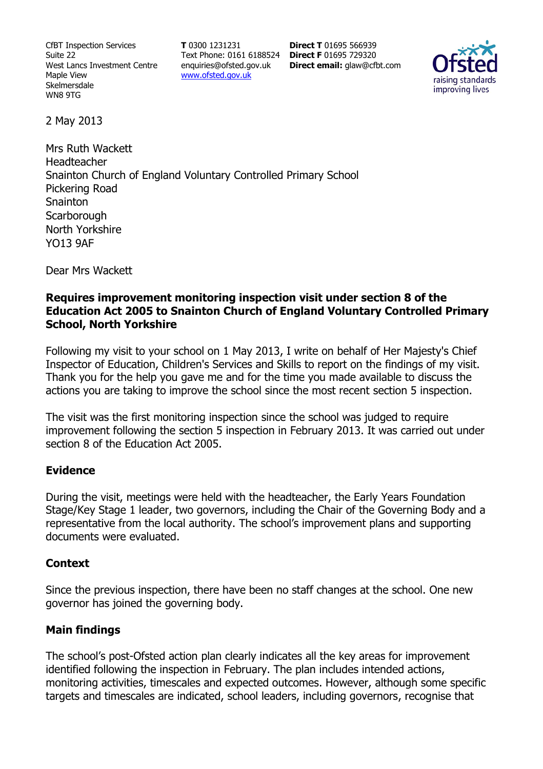CfBT Inspection Services Suite 22 West Lancs Investment Centre Maple View Skelmersdale WN8 9TG

**T** 0300 1231231 Text Phone: 0161 6188524 **Direct F** 01695 729320 enquiries@ofsted.gov.uk www.ofsted.gov.uk

**Direct T** 01695 566939 **Direct email:** glaw@cfbt.com



2 May 2013

Mrs Ruth Wackett Headteacher Snainton Church of England Voluntary Controlled Primary School Pickering Road **Snainton Scarborough** North Yorkshire YO13 9AF

Dear Mrs Wackett

## **Requires improvement monitoring inspection visit under section 8 of the Education Act 2005 to Snainton Church of England Voluntary Controlled Primary School, North Yorkshire**

Following my visit to your school on 1 May 2013, I write on behalf of Her Majesty's Chief Inspector of Education, Children's Services and Skills to report on the findings of my visit. Thank you for the help you gave me and for the time you made available to discuss the actions you are taking to improve the school since the most recent section 5 inspection.

The visit was the first monitoring inspection since the school was judged to require improvement following the section 5 inspection in February 2013. It was carried out under section 8 of the Education Act 2005.

### **Evidence**

During the visit, meetings were held with the headteacher, the Early Years Foundation Stage/Key Stage 1 leader, two governors, including the Chair of the Governing Body and a representative from the local authority. The school's improvement plans and supporting documents were evaluated.

### **Context**

Since the previous inspection, there have been no staff changes at the school. One new governor has joined the governing body.

# **Main findings**

The school's post-Ofsted action plan clearly indicates all the key areas for improvement identified following the inspection in February. The plan includes intended actions, monitoring activities, timescales and expected outcomes. However, although some specific targets and timescales are indicated, school leaders, including governors, recognise that